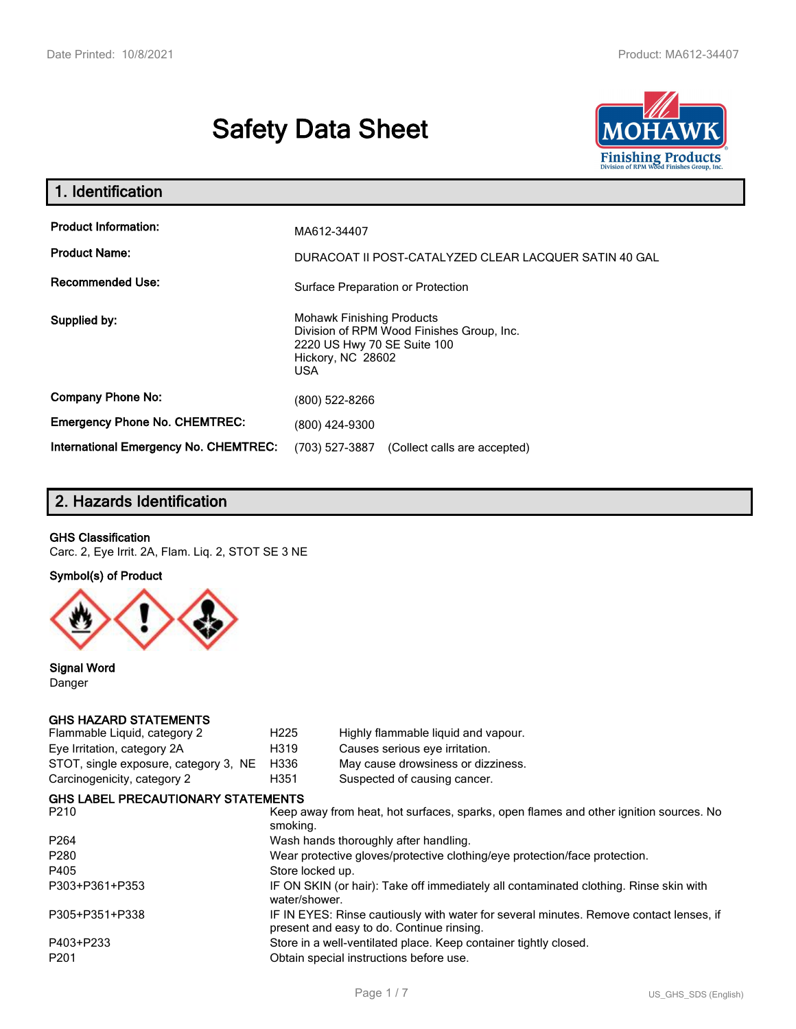# **Safety Data Sheet**



| 1. Identification                                                              |                                                                                                                                                 |
|--------------------------------------------------------------------------------|-------------------------------------------------------------------------------------------------------------------------------------------------|
| <b>Product Information:</b><br><b>Product Name:</b><br><b>Recommended Use:</b> | MA612-34407<br>DURACOAT II POST-CATALYZED CLEAR LACQUER SATIN 40 GAL<br>Surface Preparation or Protection                                       |
| Supplied by:                                                                   | <b>Mohawk Finishing Products</b><br>Division of RPM Wood Finishes Group, Inc.<br>2220 US Hwy 70 SE Suite 100<br>Hickory, NC 28602<br><b>USA</b> |
| <b>Company Phone No:</b>                                                       | (800) 522-8266                                                                                                                                  |
| <b>Emergency Phone No. CHEMTREC:</b>                                           | (800) 424-9300                                                                                                                                  |
| International Emergency No. CHEMTREC:                                          | (703) 527-3887<br>(Collect calls are accepted)                                                                                                  |

# **2. Hazards Identification**

### **GHS Classification**

Carc. 2, Eye Irrit. 2A, Flam. Liq. 2, STOT SE 3 NE

### **Symbol(s) of Product**



**Signal Word** Danger

#### **GHS HAZARD STATEMENTS**

| Flammable Liquid, category 2              | H <sub>225</sub> | Highly flammable liquid and vapour.                                                                                                 |
|-------------------------------------------|------------------|-------------------------------------------------------------------------------------------------------------------------------------|
| Eye Irritation, category 2A               | H319             | Causes serious eye irritation.                                                                                                      |
| STOT, single exposure, category 3, NE     | H336             | May cause drowsiness or dizziness.                                                                                                  |
| Carcinogenicity, category 2               | H351             | Suspected of causing cancer.                                                                                                        |
| <b>GHS LABEL PRECAUTIONARY STATEMENTS</b> |                  |                                                                                                                                     |
| P210                                      | smoking.         | Keep away from heat, hot surfaces, sparks, open flames and other ignition sources. No                                               |
| P <sub>264</sub>                          |                  | Wash hands thoroughly after handling.                                                                                               |
| P280                                      |                  | Wear protective gloves/protective clothing/eye protection/face protection.                                                          |
| P405                                      | Store locked up. |                                                                                                                                     |
| P303+P361+P353                            | water/shower.    | IF ON SKIN (or hair): Take off immediately all contaminated clothing. Rinse skin with                                               |
| P305+P351+P338                            |                  | IF IN EYES: Rinse cautiously with water for several minutes. Remove contact lenses, if<br>present and easy to do. Continue rinsing. |
| P403+P233                                 |                  | Store in a well-ventilated place. Keep container tightly closed.                                                                    |
| P201                                      |                  | Obtain special instructions before use.                                                                                             |
|                                           |                  |                                                                                                                                     |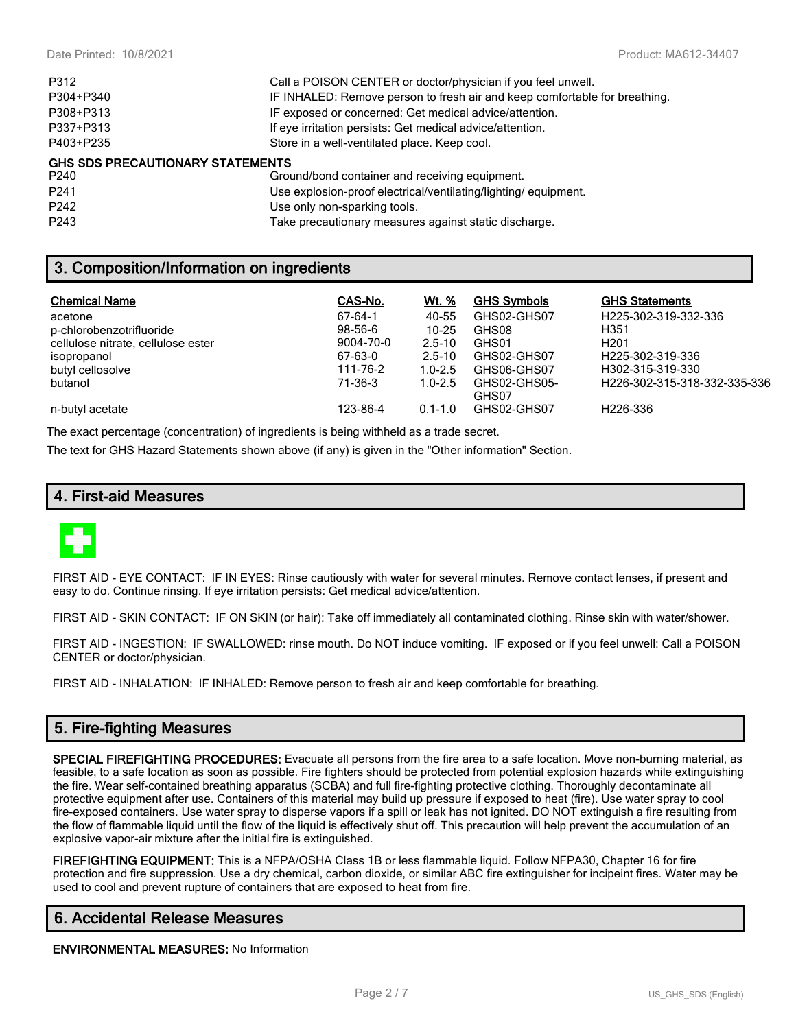| P312                                    | Call a POISON CENTER or doctor/physician if you feel unwell.               |
|-----------------------------------------|----------------------------------------------------------------------------|
| P304+P340                               | IF INHALED: Remove person to fresh air and keep comfortable for breathing. |
| P308+P313                               | IF exposed or concerned: Get medical advice/attention.                     |
| P337+P313                               | If eye irritation persists: Get medical advice/attention.                  |
| P403+P235                               | Store in a well-ventilated place. Keep cool.                               |
| <b>GHS SDS PRECAUTIONARY STATEMENTS</b> |                                                                            |
| P240                                    | Ground/bond container and receiving equipment.                             |
| P <sub>241</sub>                        | Use explosion-proof electrical/ventilating/lighting/equipment.             |
|                                         |                                                                            |

P242 Use only non-sparking tools.

P243 Take precautionary measures against static discharge.

# **3. Composition/Information on ingredients**

| <b>Chemical Name</b>               | CAS-No.       | Wt. %       | <b>GHS Symbols</b> | <b>GHS Statements</b>        |
|------------------------------------|---------------|-------------|--------------------|------------------------------|
| acetone                            | 67-64-1       | 40-55       | GHS02-GHS07        | H225-302-319-332-336         |
| p-chlorobenzotrifluoride           | $98 - 56 - 6$ | $10 - 25$   | GHS08              | H351                         |
| cellulose nitrate, cellulose ester | 9004-70-0     | $2.5 - 10$  | GHS01              | H <sub>201</sub>             |
| isopropanol                        | 67-63-0       | $2.5 - 10$  | GHS02-GHS07        | H225-302-319-336             |
| butyl cellosolve                   | 111-76-2      | $1.0 - 2.5$ | GHS06-GHS07        | H302-315-319-330             |
| butanol                            | 71-36-3       | $1.0 - 2.5$ | GHS02-GHS05-       | H226-302-315-318-332-335-336 |
|                                    |               |             | GHS07              |                              |
| n-butyl acetate                    | 123-86-4      | $0.1 - 1.0$ | GHS02-GHS07        | H226-336                     |

The exact percentage (concentration) of ingredients is being withheld as a trade secret.

The text for GHS Hazard Statements shown above (if any) is given in the "Other information" Section.

# **4. First-aid Measures**



FIRST AID - EYE CONTACT: IF IN EYES: Rinse cautiously with water for several minutes. Remove contact lenses, if present and easy to do. Continue rinsing. If eye irritation persists: Get medical advice/attention.

FIRST AID - SKIN CONTACT: IF ON SKIN (or hair): Take off immediately all contaminated clothing. Rinse skin with water/shower.

FIRST AID - INGESTION: IF SWALLOWED: rinse mouth. Do NOT induce vomiting. IF exposed or if you feel unwell: Call a POISON CENTER or doctor/physician.

FIRST AID - INHALATION: IF INHALED: Remove person to fresh air and keep comfortable for breathing.

# **5. Fire-fighting Measures**

**SPECIAL FIREFIGHTING PROCEDURES:** Evacuate all persons from the fire area to a safe location. Move non-burning material, as feasible, to a safe location as soon as possible. Fire fighters should be protected from potential explosion hazards while extinguishing the fire. Wear self-contained breathing apparatus (SCBA) and full fire-fighting protective clothing. Thoroughly decontaminate all protective equipment after use. Containers of this material may build up pressure if exposed to heat (fire). Use water spray to cool fire-exposed containers. Use water spray to disperse vapors if a spill or leak has not ignited. DO NOT extinguish a fire resulting from the flow of flammable liquid until the flow of the liquid is effectively shut off. This precaution will help prevent the accumulation of an explosive vapor-air mixture after the initial fire is extinguished.

**FIREFIGHTING EQUIPMENT:** This is a NFPA/OSHA Class 1B or less flammable liquid. Follow NFPA30, Chapter 16 for fire protection and fire suppression. Use a dry chemical, carbon dioxide, or similar ABC fire extinguisher for incipeint fires. Water may be used to cool and prevent rupture of containers that are exposed to heat from fire.

# **6. Accidental Release Measures**

**ENVIRONMENTAL MEASURES:** No Information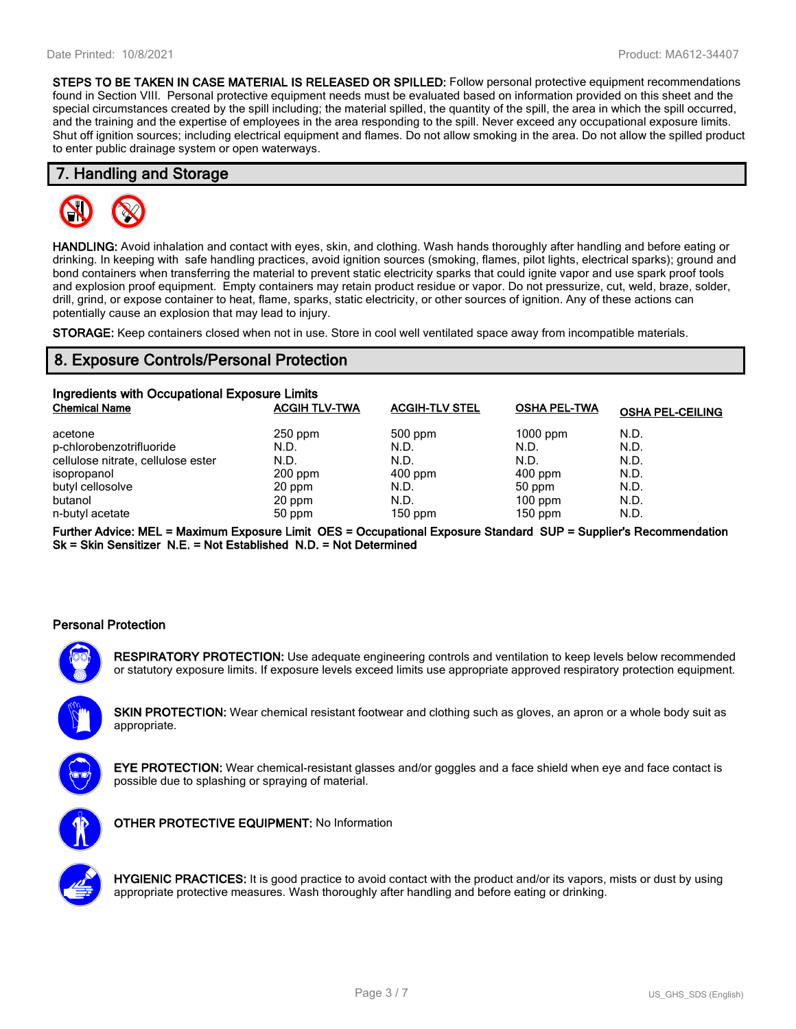**STEPS TO BE TAKEN IN CASE MATERIAL IS RELEASED OR SPILLED:** Follow personal protective equipment recommendations found in Section VIII. Personal protective equipment needs must be evaluated based on information provided on this sheet and the special circumstances created by the spill including; the material spilled, the quantity of the spill, the area in which the spill occurred, and the training and the expertise of employees in the area responding to the spill. Never exceed any occupational exposure limits. Shut off ignition sources; including electrical equipment and flames. Do not allow smoking in the area. Do not allow the spilled product to enter public drainage system or open waterways.

### **7. Handling and Storage**



**HANDLING:** Avoid inhalation and contact with eyes, skin, and clothing. Wash hands thoroughly after handling and before eating or drinking. In keeping with safe handling practices, avoid ignition sources (smoking, flames, pilot lights, electrical sparks); ground and bond containers when transferring the material to prevent static electricity sparks that could ignite vapor and use spark proof tools and explosion proof equipment. Empty containers may retain product residue or vapor. Do not pressurize, cut, weld, braze, solder, drill, grind, or expose container to heat, flame, sparks, static electricity, or other sources of ignition. Any of these actions can potentially cause an explosion that may lead to injury.

**STORAGE:** Keep containers closed when not in use. Store in cool well ventilated space away from incompatible materials.

# **8. Exposure Controls/Personal Protection**

| Ingredients with Occupational Exposure Limits |                      |                       |                     |                         |  |  |
|-----------------------------------------------|----------------------|-----------------------|---------------------|-------------------------|--|--|
| <b>Chemical Name</b>                          | <b>ACGIH TLV-TWA</b> | <b>ACGIH-TLV STEL</b> | <b>OSHA PEL-TWA</b> | <b>OSHA PEL-CEILING</b> |  |  |
| acetone                                       | $250$ ppm            | 500 ppm               | $1000$ ppm          | N.D.                    |  |  |
| p-chlorobenzotrifluoride                      | N.D.                 | N.D.                  | N.D.                | N.D.                    |  |  |
| cellulose nitrate, cellulose ester            | N.D.                 | N.D.                  | N.D.                | N.D.                    |  |  |
| isopropanol                                   | $200$ ppm            | $400$ ppm             | $400$ ppm           | N.D.                    |  |  |
| butyl cellosolve                              | 20 ppm               | N.D.                  | 50 ppm              | N.D.                    |  |  |
| butanol                                       | 20 ppm               | N.D.                  | $100$ ppm           | N.D.                    |  |  |
| n-butyl acetate                               | 50 ppm               | $150$ ppm             | $150$ ppm           | N.D.                    |  |  |

**Further Advice: MEL = Maximum Exposure Limit OES = Occupational Exposure Standard SUP = Supplier's Recommendation Sk = Skin Sensitizer N.E. = Not Established N.D. = Not Determined**

### **Personal Protection**



**RESPIRATORY PROTECTION:** Use adequate engineering controls and ventilation to keep levels below recommended or statutory exposure limits. If exposure levels exceed limits use appropriate approved respiratory protection equipment.

**SKIN PROTECTION:** Wear chemical resistant footwear and clothing such as gloves, an apron or a whole body suit as appropriate.



**EYE PROTECTION:** Wear chemical-resistant glasses and/or goggles and a face shield when eye and face contact is possible due to splashing or spraying of material.



**OTHER PROTECTIVE EQUIPMENT:** No Information



**HYGIENIC PRACTICES:** It is good practice to avoid contact with the product and/or its vapors, mists or dust by using appropriate protective measures. Wash thoroughly after handling and before eating or drinking.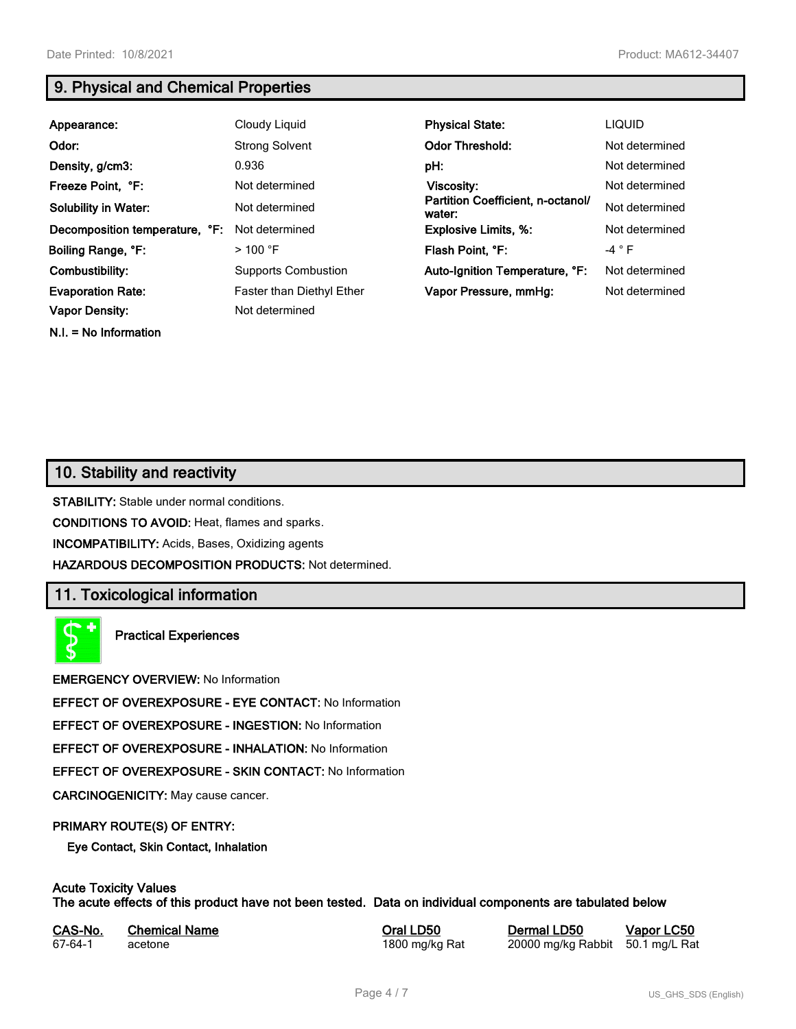**N.I. = No Information**

# **9. Physical and Chemical Properties**

| Appearance:                    | Cloudy Liquid              | <b>Physical State:</b>                      | <b>LIQUID</b>  |
|--------------------------------|----------------------------|---------------------------------------------|----------------|
| Odor:                          | <b>Strong Solvent</b>      | <b>Odor Threshold:</b>                      | Not determined |
| Density, g/cm3:                | 0.936                      | pH:                                         | Not determined |
| Freeze Point, °F:              | Not determined             | Viscosity:                                  | Not determined |
| <b>Solubility in Water:</b>    | Not determined             | Partition Coefficient, n-octanol/<br>water: | Not determined |
| Decomposition temperature, °F: | Not determined             | <b>Explosive Limits, %:</b>                 | Not determined |
| Boiling Range, °F:             | $>100$ °F                  | Flash Point, °F:                            | $-4$ $\circ$ F |
| Combustibility:                | <b>Supports Combustion</b> | Auto-Ignition Temperature, °F:              | Not determined |
| <b>Evaporation Rate:</b>       | Faster than Diethyl Ether  | Vapor Pressure, mmHg:                       | Not determined |
| <b>Vapor Density:</b>          | Not determined             |                                             |                |

# **10. Stability and reactivity**

**STABILITY:** Stable under normal conditions.

**CONDITIONS TO AVOID:** Heat, flames and sparks.

**INCOMPATIBILITY:** Acids, Bases, Oxidizing agents

**HAZARDOUS DECOMPOSITION PRODUCTS:** Not determined.

# **11. Toxicological information**

**Practical Experiences**

**EMERGENCY OVERVIEW:** No Information

**EFFECT OF OVEREXPOSURE - EYE CONTACT:** No Information

**EFFECT OF OVEREXPOSURE - INGESTION:** No Information

**EFFECT OF OVEREXPOSURE - INHALATION:** No Information

**EFFECT OF OVEREXPOSURE - SKIN CONTACT:** No Information

**CARCINOGENICITY:** May cause cancer.

### **PRIMARY ROUTE(S) OF ENTRY:**

**Eye Contact, Skin Contact, Inhalation**

# **Acute Toxicity Values**

**The acute effects of this product have not been tested. Data on individual components are tabulated below**

| CAS-No. | <b>Chemical Name</b> |  |
|---------|----------------------|--|
| 67-64-1 | acetone              |  |

**CASA-No. 2018 CONO. In the CASE CASE CONOCO CONOCO CONOCO CONOCO CONOCO CONOCO CONOCO CONOCO CONOCO CONOCO CONOCO CONOCO CONOCO CONOCO CONOCO CONOCO CONOCO CONOCO CONOCO CONOCO CONOCO CONOCO CONOCO CONOCO CONOCO CONOCO** 1800 mg/kg Rat 20000 mg/kg Rabbit 50.1 mg/L Rat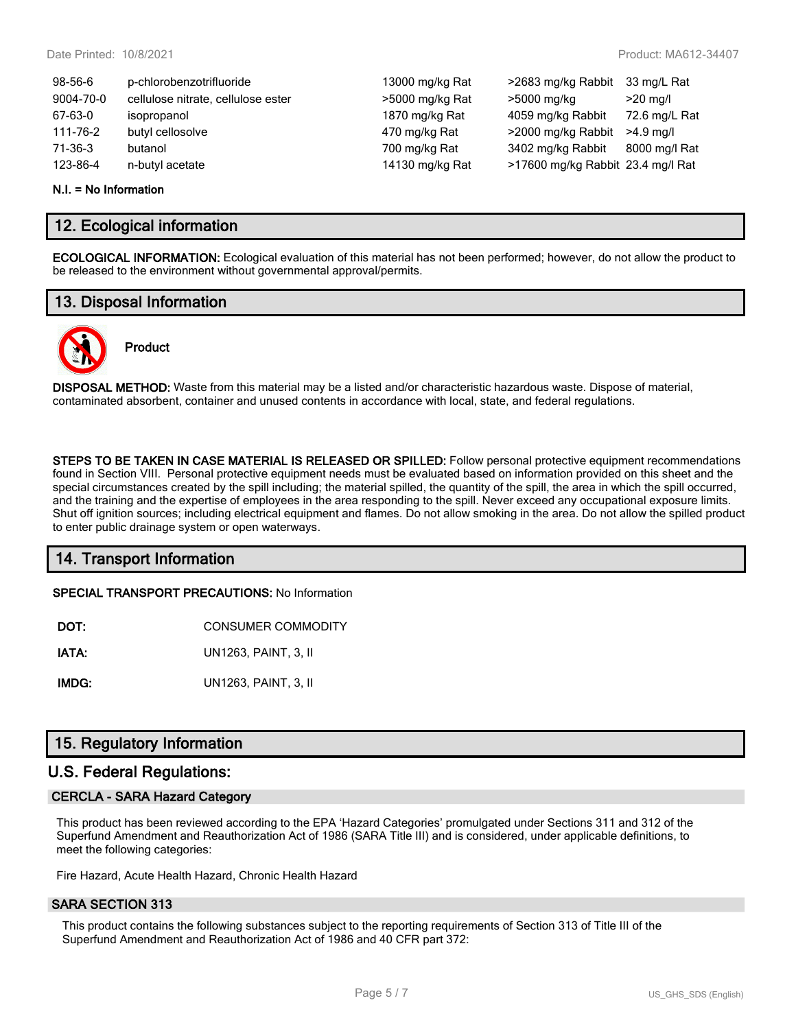| $98 - 56 - 6$ | p-chlorobenzotrifluoride           | 13000 mg/kg Rat | >2683 mg/kg Rabbit                | 33 mg/L Rat   |
|---------------|------------------------------------|-----------------|-----------------------------------|---------------|
| 9004-70-0     | cellulose nitrate, cellulose ester | >5000 mg/kg Rat | >5000 mg/kg                       | $>20$ mg/l    |
| 67-63-0       | isopropanol                        | 1870 mg/kg Rat  | 4059 mg/kg Rabbit                 | 72.6 mg/L Rat |
| 111-76-2      | butyl cellosolve                   | 470 mg/kg Rat   | >2000 mg/kg Rabbit                | $>4.9$ ma/l   |
| 71-36-3       | butanol                            | 700 mg/kg Rat   | 3402 mg/kg Rabbit                 | 8000 mg/l Rat |
| 123-86-4      | n-butyl acetate                    | 14130 mg/kg Rat | >17600 mg/kg Rabbit 23.4 mg/l Rat |               |
|               |                                    |                 |                                   |               |

#### **N.I. = No Information**

### **12. Ecological information**

**ECOLOGICAL INFORMATION:** Ecological evaluation of this material has not been performed; however, do not allow the product to be released to the environment without governmental approval/permits.

### **13. Disposal Information**



# **Product**

**DISPOSAL METHOD:** Waste from this material may be a listed and/or characteristic hazardous waste. Dispose of material, contaminated absorbent, container and unused contents in accordance with local, state, and federal regulations.

**STEPS TO BE TAKEN IN CASE MATERIAL IS RELEASED OR SPILLED:** Follow personal protective equipment recommendations found in Section VIII. Personal protective equipment needs must be evaluated based on information provided on this sheet and the special circumstances created by the spill including; the material spilled, the quantity of the spill, the area in which the spill occurred, and the training and the expertise of employees in the area responding to the spill. Never exceed any occupational exposure limits. Shut off ignition sources; including electrical equipment and flames. Do not allow smoking in the area. Do not allow the spilled product to enter public drainage system or open waterways.

# **14. Transport Information**

**SPECIAL TRANSPORT PRECAUTIONS:** No Information

| DOT: | <b>CONSUMER COMMODITY</b> |
|------|---------------------------|
|      |                           |

**IATA:** UN1263, PAINT, 3, II

**IMDG:** UN1263, PAINT, 3, II

# **15. Regulatory Information**

### **U.S. Federal Regulations:**

### **CERCLA - SARA Hazard Category**

This product has been reviewed according to the EPA 'Hazard Categories' promulgated under Sections 311 and 312 of the Superfund Amendment and Reauthorization Act of 1986 (SARA Title III) and is considered, under applicable definitions, to meet the following categories:

Fire Hazard, Acute Health Hazard, Chronic Health Hazard

### **SARA SECTION 313**

This product contains the following substances subject to the reporting requirements of Section 313 of Title III of the Superfund Amendment and Reauthorization Act of 1986 and 40 CFR part 372: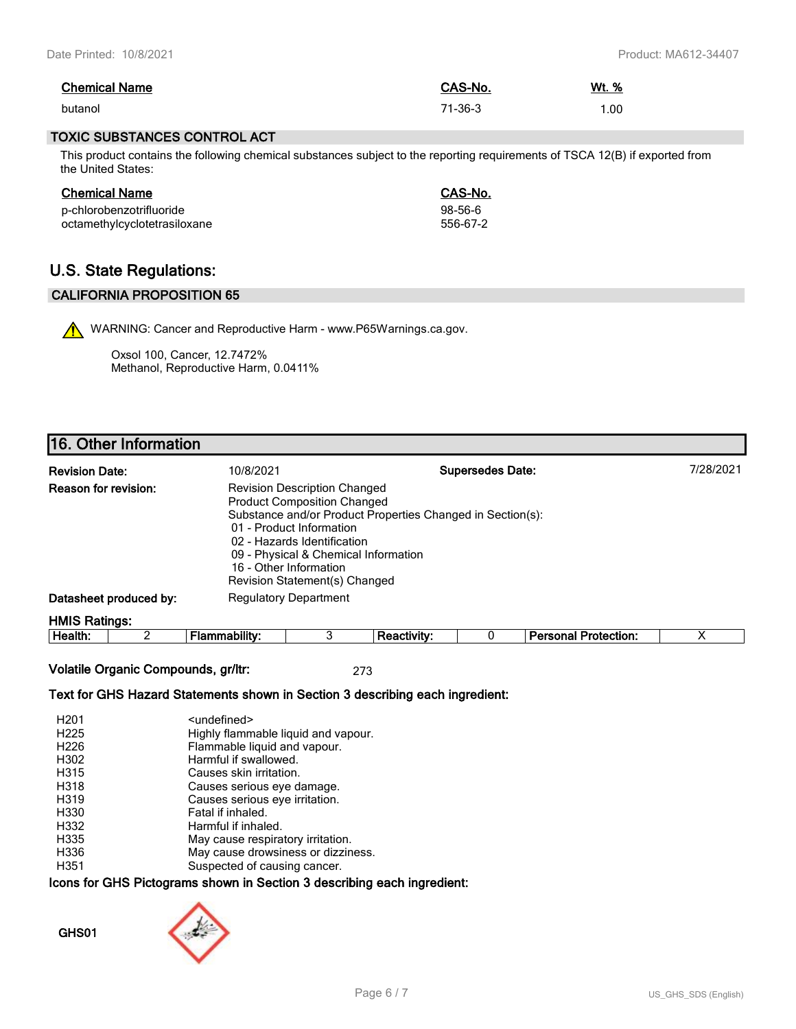| <b>Chemical Name</b> | CAS-No. | <u>Wt. %</u> |
|----------------------|---------|--------------|
| butanol              | 71-36-3 | .00          |

### **TOXIC SUBSTANCES CONTROL ACT**

This product contains the following chemical substances subject to the reporting requirements of TSCA 12(B) if exported from the United States:

| <b>Chemical Name</b>         | CAS-No.   |
|------------------------------|-----------|
| p-chlorobenzotrifluoride     | $98-56-6$ |
| octamethylcyclotetrasiloxane | 556-67-2  |

# **U.S. State Regulations:**

### **CALIFORNIA PROPOSITION 65**

WARNING: Cancer and Reproductive Harm - www.P65Warnings.ca.gov.

Oxsol 100, Cancer, 12.7472% Methanol, Reproductive Harm, 0.0411%

# **16. Other Information**

| <b>Revision Date:</b>       | 10/8/2021                                                                                                                                                                                                                               | <b>Supersedes Date:</b>                                    | 7/28/2021 |
|-----------------------------|-----------------------------------------------------------------------------------------------------------------------------------------------------------------------------------------------------------------------------------------|------------------------------------------------------------|-----------|
| <b>Reason for revision:</b> | <b>Revision Description Changed</b><br><b>Product Composition Changed</b><br>01 - Product Information<br>02 - Hazards Identification<br>09 - Physical & Chemical Information<br>16 - Other Information<br>Revision Statement(s) Changed | Substance and/or Product Properties Changed in Section(s): |           |
| Datasheet produced by:      | <b>Regulatory Department</b>                                                                                                                                                                                                            |                                                            |           |
| $LIMC$ Dallager             |                                                                                                                                                                                                                                         |                                                            |           |

**HMIS Ratings:**

**Health:** 2 **Flammability:** 3 **Reactivity:** 0 **Personal Protection:** X

**Volatile Organic Compounds, gr/ltr:** 273

### **Text for GHS Hazard Statements shown in Section 3 describing each ingredient:**

| H <sub>201</sub> | <undefined></undefined>             |
|------------------|-------------------------------------|
| H <sub>225</sub> | Highly flammable liquid and vapour. |
| H <sub>226</sub> | Flammable liquid and vapour.        |
| H302             | Harmful if swallowed.               |
| H315             | Causes skin irritation.             |
| H318             | Causes serious eye damage.          |
| H319             | Causes serious eye irritation.      |
| H330             | Fatal if inhaled.                   |
| H332             | Harmful if inhaled.                 |
| H335             | May cause respiratory irritation.   |
| H336             | May cause drowsiness or dizziness.  |
| H351             | Suspected of causing cancer.        |

### **Icons for GHS Pictograms shown in Section 3 describing each ingredient:**

**GHS01**